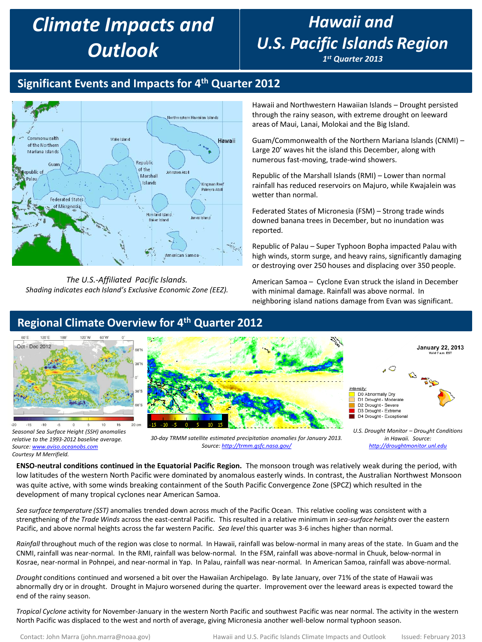# *Climate Impacts and Outlook*

# *Hawaii and U.S. Pacific Islands Region*

*1 st Quarter 2013*

## **Significant Events and Impacts for 4th Quarter 2012**



*The U.S.-Affiliated Pacific Islands. Shading indicates each Island's Exclusive Economic Zone (EEZ).*  Hawaii and Northwestern Hawaiian Islands – Drought persisted through the rainy season, with extreme drought on leeward areas of Maui, Lanai, Molokai and the Big Island.

Guam/Commonwealth of the Northern Mariana Islands (CNMI) – Large 20' waves hit the island this December, along with numerous fast-moving, trade-wind showers.

Republic of the Marshall Islands (RMI) – Lower than normal rainfall has reduced reservoirs on Majuro, while Kwajalein was wetter than normal.

Federated States of Micronesia (FSM) – Strong trade winds downed banana trees in December, but no inundation was reported.

Republic of Palau – Super Typhoon Bopha impacted Palau with high winds, storm surge, and heavy rains, significantly damaging or destroying over 250 houses and displacing over 350 people.

American Samoa – Cyclone Evan struck the island in December with minimal damage. Rainfall was above normal. In neighboring island nations damage from Evan was significant.

> *in Hawaii. Source: [http://droughtmonitor.unl.edu](http://droughtmonitor.unl.edu/)*



*relative to the 1993-2012 baseline average. Source: [www.aviso.oceanobs.com](http://www.aviso.oceanobs.com/) Courtesy M Merrifield.* 

*30-day TRMM satellite estimated precipitation anomalies for January 2013. Source:<http://trmm.gsfc.nasa.gov/>*

**ENSO-neutral conditions continued in the Equatorial Pacific Region.** The monsoon trough was relatively weak during the period, with low latitudes of the western North Pacific were dominated by anomalous easterly winds. In contrast, the Australian Northwest Monsoon was quite active, with some winds breaking containment of the South Pacific Convergence Zone (SPCZ) which resulted in the development of many tropical cyclones near American Samoa.

*Sea surface temperature (SST)* anomalies trended down across much of the Pacific Ocean. This relative cooling was consistent with a strengthening of *the Trade Winds* across the east-central Pacific. This resulted in a relative minimum in *sea-surface heights* over the eastern Pacific, and above normal heights across the far western Pacific. *Sea level* this quarter was 3-6 inches higher than normal.

*Rainfall* throughout much of the region was close to normal. In Hawaii, rainfall was below-normal in many areas of the state. In Guam and the CNMI, rainfall was near-normal. In the RMI, rainfall was below-normal. In the FSM, rainfall was above-normal in Chuuk, below-normal in Kosrae, near-normal in Pohnpei, and near-normal in Yap. In Palau, rainfall was near-normal. In American Samoa, rainfall was above-normal.

*Drought* conditions continued and worsened a bit over the Hawaiian Archipelago. By late January, over 71% of the state of Hawaii was abnormally dry or in drought. Drought in Majuro worsened during the quarter. Improvement over the leeward areas is expected toward the end of the rainy season.

*Tropical Cyclone* activity for November-January in the western North Pacific and southwest Pacific was near normal. The activity in the western North Pacific was displaced to the west and north of average, giving Micronesia another well-below normal typhoon season.